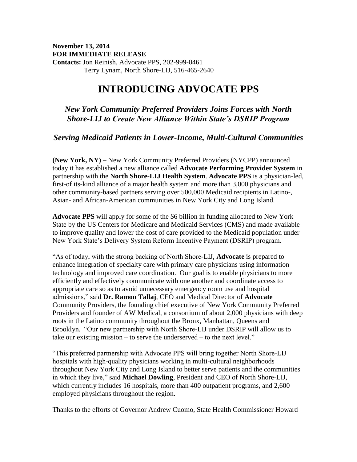## **November 13, 2014 FOR IMMEDIATE RELEASE Contacts:** Jon Reinish, Advocate PPS, 202-999-0461 Terry Lynam, North Shore-LIJ, 516-465-2640

## **INTRODUCING ADVOCATE PPS**

## *New York Community Preferred Providers Joins Forces with North Shore-LIJ to Create New Alliance Within State's DSRIP Program*

*Serving Medicaid Patients in Lower-Income, Multi-Cultural Communities*

**(New York, NY) –** New York Community Preferred Providers (NYCPP) announced today it has established a new alliance called **Advocate Performing Provider System** in partnership with the **North Shore-LIJ Health System**. **Advocate PPS** is a physician-led, first-of its-kind alliance of a major health system and more than 3,000 physicians and other community-based partners serving over 500,000 Medicaid recipients in Latino-, Asian- and African-American communities in New York City and Long Island.

**Advocate PPS** will apply for some of the \$6 billion in funding allocated to New York State by the US Centers for Medicare and Medicaid Services (CMS) and made available to improve quality and lower the cost of care provided to the Medicaid population under New York State's Delivery System Reform Incentive Payment (DSRIP) program.

"As of today, with the strong backing of North Shore-LIJ, **Advocate** is prepared to enhance integration of specialty care with primary care physicians using information technology and improved care coordination. Our goal is to enable physicians to more efficiently and effectively communicate with one another and coordinate access to appropriate care so as to avoid unnecessary emergency room use and hospital admissions," said **Dr. Ramon Tallaj**, CEO and Medical Director of **Advocate** Community Providers, the founding chief executive of New York Community Preferred Providers and founder of AW Medical, a consortium of about 2,000 physicians with deep roots in the Latino community throughout the Bronx, Manhattan, Queens and Brooklyn. "Our new partnership with North Shore-LIJ under DSRIP will allow us to take our existing mission – to serve the underserved – to the next level."

"This preferred partnership with Advocate PPS will bring together North Shore-LIJ hospitals with high-quality physicians working in multi-cultural neighborhoods throughout New York City and Long Island to better serve patients and the communities in which they live," said **Michael Dowling**, President and CEO of North Shore-LIJ, which currently includes 16 hospitals, more than 400 outpatient programs, and 2,600 employed physicians throughout the region.

Thanks to the efforts of Governor Andrew Cuomo, State Health Commissioner Howard